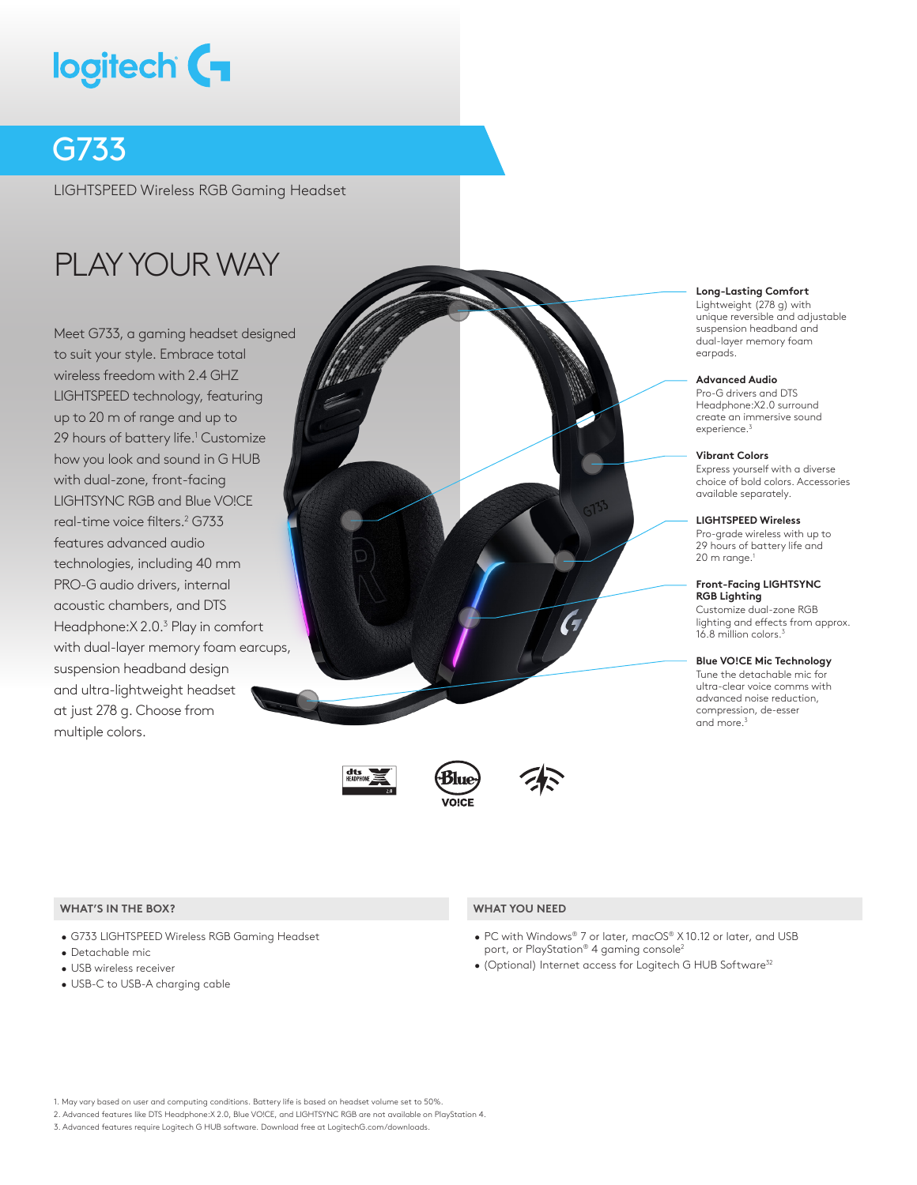# logitech (

### G733

LIGHTSPEED Wireless RGB Gaming Headset

## PLAY YOUR WAY

Meet G733, a gaming headset designed to suit your style. Embrace total wireless freedom with 2.4 GHZ LIGHTSPEED technology, featuring up to 20 m of range and up to 29 hours of battery life.<sup>1</sup> Customize how you look and sound in G HUB with dual-zone, front-facing LIGHTSYNC RGB and Blue VO!CE real-time voice filters.<sup>2</sup> G733 features advanced audio technologies, including 40 mm PRO-G audio drivers, internal acoustic chambers, and DTS Headphone: X 2.0.<sup>3</sup> Play in comfort with dual-layer memory foam earcups, suspension headband design and ultra-lightweight headset at just 278 g. Choose from multiple colors.







#### **Long-Lasting Comfort**

Lightweight (278 g) with unique reversible and adjustable suspension headband and dual-layer memory foam earpads.

#### **Advanced Audio**

Pro-G drivers and DTS Headphone:X2.0 surround create an immersive sound experience.<sup>3</sup>

#### **Vibrant Colors**

Express yourself with a diverse choice of bold colors. Accessories available separately.

#### **LIGHTSPEED Wireless**

Pro-grade wireless with up to 29 hours of battery life and  $20 \text{ m}$  range.<sup>1</sup>

#### **Front-Facing LIGHTSYNC RGB Lighting**

Customize dual-zone RGB lighting and effects from approx. 16.8 million colors.<sup>3</sup>

#### **Blue VO!CE Mic Technology**

Tune the detachable mic for ultra-clear voice comms with advanced noise reduction, compression, de-esser and more.<sup>3</sup>

#### **WHAT'S IN THE BOX? WHAT YOU NEED**

- G733 LIGHTSPEED Wireless RGB Gaming Headset
- Detachable mic
- USB wireless receiver
- USB-C to USB-A charging cable

- PC with Windows® 7 or later, macOS® X 10.12 or later, and USB port, or PlayStation® 4 gaming console<sup>2</sup>
- (Optional) Internet access for Logitech G HUB Software<sup>32</sup>

1. May vary based on user and computing conditions. Battery life is based on headset volume set to 50%.

3. Advanced features require Logitech G HUB software. Download free at LogitechG.com/downloads.

<sup>2.</sup> Advanced features like DTS Headphone:X 2.0, Blue VO!CE, and LIGHTSYNC RGB are not available on PlayStation 4.